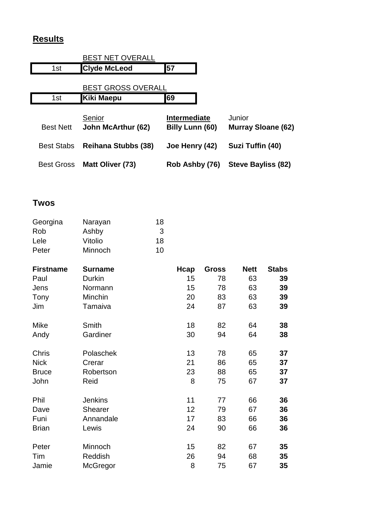## **Results**

|                   | <b>BEST NET OVERALL</b>             |                                 |                                     |
|-------------------|-------------------------------------|---------------------------------|-------------------------------------|
| 1st               | <b>Clyde McLeod</b>                 | 57                              |                                     |
|                   | <b>BEST GROSS OVERALL</b>           |                                 |                                     |
| 1st               | Kiki Maepu                          | 69                              |                                     |
| <b>Best Nett</b>  | Senior<br><b>John McArthur (62)</b> | Intermediate<br>Billy Lunn (60) | Junior<br><b>Murray Sloane (62)</b> |
| <b>Best Stabs</b> | <b>Reihana Stubbs (38)</b>          | Joe Henry (42)                  | Suzi Tuffin (40)                    |
| <b>Best Gross</b> | Matt Oliver (73)                    | Rob Ashby (76)                  | Steve Bayliss (82)                  |

## **Twos**

| Georgina | Narayan | 18 |
|----------|---------|----|
| Rob      | Ashby   | 3  |
| Lele     | Vitolio | 18 |
| Peter    | Minnoch | 10 |

| <b>Firstname</b> | <b>Surname</b> | Hcap | <b>Gross</b> | <b>Nett</b> | <b>Stabs</b> |
|------------------|----------------|------|--------------|-------------|--------------|
| Paul             | Durkin         | 15   | 78           | 63          | 39           |
| Jens             | Normann        | 15   | 78           | 63          | 39           |
| Tony             | Minchin        | 20   | 83           | 63          | 39           |
| Jim              | Tamaiva        | 24   | 87           | 63          | 39           |
| Mike             | Smith          | 18   | 82           | 64          | 38           |
| Andy             | Gardiner       | 30   | 94           | 64          | 38           |
| Chris            | Polaschek      | 13   | 78           | 65          | 37           |
| <b>Nick</b>      | Crerar         | 21   | 86           | 65          | 37           |
| <b>Bruce</b>     | Robertson      | 23   | 88           | 65          | 37           |
| John             | Reid           | 8    | 75           | 67          | 37           |
| Phil             | <b>Jenkins</b> | 11   | 77           | 66          | 36           |
| Dave             | <b>Shearer</b> | 12   | 79           | 67          | 36           |
| Funi             | Annandale      | 17   | 83           | 66          | 36           |
| <b>Brian</b>     | Lewis          | 24   | 90           | 66          | 36           |
| Peter            | Minnoch        | 15   | 82           | 67          | 35           |
| Tim              | Reddish        | 26   | 94           | 68          | 35           |
| Jamie            | McGregor       | 8    | 75           | 67          | 35           |